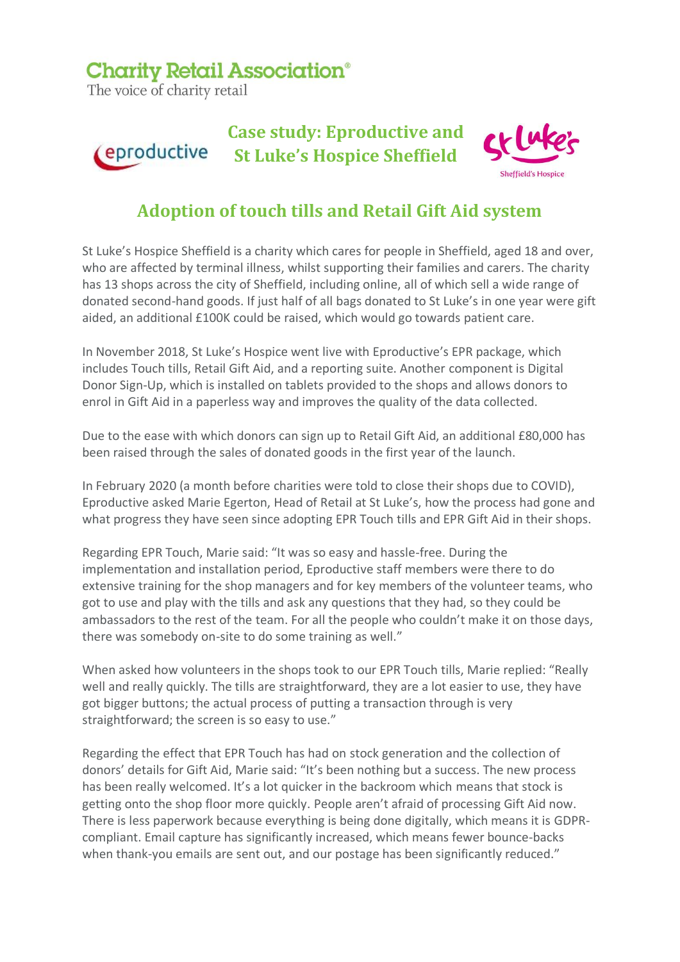## **Charity Retail Association®**

The voice of charity retail



## **Adoption of touch tills and Retail Gift Aid system**

St Luke's Hospice Sheffield is a charity which cares for people in Sheffield, aged 18 and over, who are affected by terminal illness, whilst supporting their families and carers. The charity has 13 shops across the city of Sheffield, including online, all of which sell a wide range of donated second-hand goods. If just half of all bags donated to St Luke's in one year were gift aided, an additional £100K could be raised, which would go towards patient care.

In November 2018, St Luke's Hospice went live with Eproductive's EPR package, which includes Touch tills, Retail Gift Aid, and a reporting suite. Another component is Digital Donor Sign-Up, which is installed on tablets provided to the shops and allows donors to enrol in Gift Aid in a paperless way and improves the quality of the data collected.

Due to the ease with which donors can sign up to Retail Gift Aid, an additional £80,000 has been raised through the sales of donated goods in the first year of the launch.

In February 2020 (a month before charities were told to close their shops due to COVID), Eproductive asked Marie Egerton, Head of Retail at St Luke's, how the process had gone and what progress they have seen since adopting EPR Touch tills and EPR Gift Aid in their shops.

Regarding EPR Touch, Marie said: "It was so easy and hassle-free. During the implementation and installation period, Eproductive staff members were there to do extensive training for the shop managers and for key members of the volunteer teams, who got to use and play with the tills and ask any questions that they had, so they could be ambassadors to the rest of the team. For all the people who couldn't make it on those days, there was somebody on-site to do some training as well."

When asked how volunteers in the shops took to our EPR Touch tills, Marie replied: "Really well and really quickly. The tills are straightforward, they are a lot easier to use, they have got bigger buttons; the actual process of putting a transaction through is very straightforward; the screen is so easy to use."

Regarding the effect that EPR Touch has had on stock generation and the collection of donors' details for Gift Aid, Marie said: "It's been nothing but a success. The new process has been really welcomed. It's a lot quicker in the backroom which means that stock is getting onto the shop floor more quickly. People aren't afraid of processing Gift Aid now. There is less paperwork because everything is being done digitally, which means it is GDPRcompliant. Email capture has significantly increased, which means fewer bounce-backs when thank-you emails are sent out, and our postage has been significantly reduced."